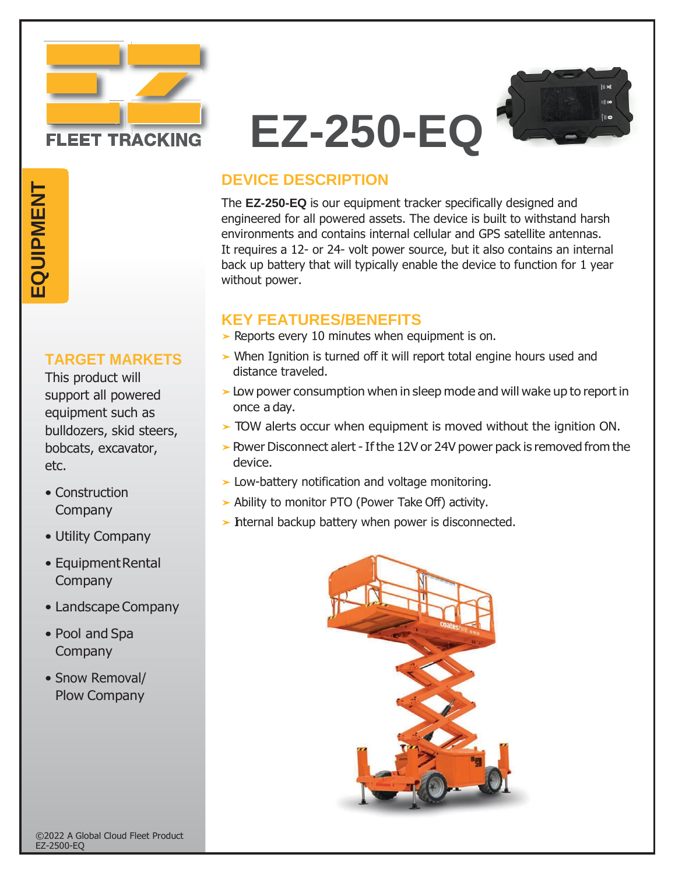

# **EZ-250-EQ**



## **DEVICE DESCRIPTION**

The **EZ-250-EQ** is our equipment tracker specifically designed and engineered for all powered assets. The device is built to withstand harsh environments and contains internal cellular and GPS satellite antennas. It requires a 12- or 24- volt power source, but it also contains an internal back up battery that will typically enable the device to function for 1 year without power.

### **KEY FEATURES/BENEFITS**

- ➤ Reports every 10 minutes when equipment is on.
- ➤ When Ignition is turned off it will report total engine hours used and distance traveled.
- ➤Low power consumption when in sleep mode and will wake up to report in once a day.
- ➤ TOW alerts occur when equipment is moved without the ignition ON.
- ► Power Disconnect alert If the 12V or 24V power pack is removed from the device.
- ➤ Low-battery notification and voltage monitoring.
- ➤ Ability to monitor PTO (Power Take Off) activity.
- ► Internal backup battery when power is disconnected.



# EQUIPMENT

#### **TARGET MARKETS**

This product will support all powered equipment such as bulldozers, skid steers, bobcats, excavator, etc. **EXAMPLE SUBSTANCE THE SUPPORT CONSUMPD**<br> **EQUIPMENT**<br> **EQUIPM**<br> **EQUIPM**<br> **EQUIPM**<br> **EQUIPM**<br> **EQUIPM**<br> **EQUIPM**<br> **EQUIPM**<br> **EQUIPM**<br> **EQUIPM**<br> **EQUIPM**<br> **EQUIPM**<br> **EQUIPM**<br> **EQUIPM**<br> **EQUIPM**<br> **EQUIPM** 

- Construction Company
- Utility Company
- EquipmentRental **Company**
- Landscape Company
- Pool and Spa **Company**
- Snow Removal/ Plow Company